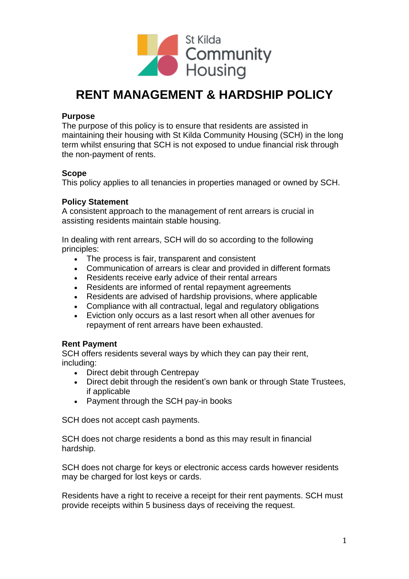

# **RENT MANAGEMENT & HARDSHIP POLICY**

# **Purpose**

The purpose of this policy is to ensure that residents are assisted in maintaining their housing with St Kilda Community Housing (SCH) in the long term whilst ensuring that SCH is not exposed to undue financial risk through the non-payment of rents.

# **Scope**

This policy applies to all tenancies in properties managed or owned by SCH.

# **Policy Statement**

A consistent approach to the management of rent arrears is crucial in assisting residents maintain stable housing.

In dealing with rent arrears, SCH will do so according to the following principles:

- The process is fair, transparent and consistent
- Communication of arrears is clear and provided in different formats
- Residents receive early advice of their rental arrears
- Residents are informed of rental repayment agreements
- Residents are advised of hardship provisions, where applicable
- Compliance with all contractual, legal and regulatory obligations
- Eviction only occurs as a last resort when all other avenues for repayment of rent arrears have been exhausted.

# **Rent Payment**

SCH offers residents several ways by which they can pay their rent, including:

- Direct debit through Centrepay
- Direct debit through the resident's own bank or through State Trustees, if applicable
- Payment through the SCH pay-in books

SCH does not accept cash payments.

SCH does not charge residents a bond as this may result in financial hardship.

SCH does not charge for keys or electronic access cards however residents may be charged for lost keys or cards.

Residents have a right to receive a receipt for their rent payments. SCH must provide receipts within 5 business days of receiving the request.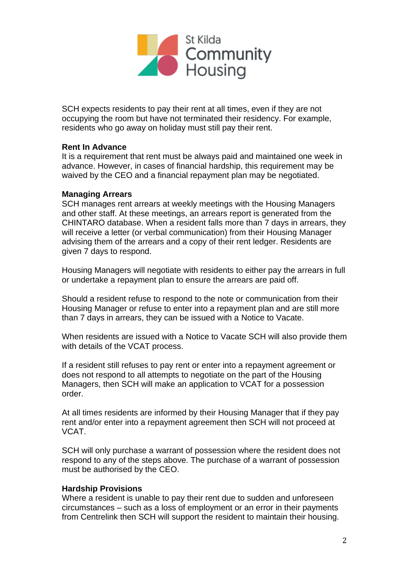

SCH expects residents to pay their rent at all times, even if they are not occupying the room but have not terminated their residency. For example, residents who go away on holiday must still pay their rent.

## **Rent In Advance**

It is a requirement that rent must be always paid and maintained one week in advance. However, in cases of financial hardship, this requirement may be waived by the CEO and a financial repayment plan may be negotiated.

#### **Managing Arrears**

SCH manages rent arrears at weekly meetings with the Housing Managers and other staff. At these meetings, an arrears report is generated from the CHINTARO database. When a resident falls more than 7 days in arrears, they will receive a letter (or verbal communication) from their Housing Manager advising them of the arrears and a copy of their rent ledger. Residents are given 7 days to respond.

Housing Managers will negotiate with residents to either pay the arrears in full or undertake a repayment plan to ensure the arrears are paid off.

Should a resident refuse to respond to the note or communication from their Housing Manager or refuse to enter into a repayment plan and are still more than 7 days in arrears, they can be issued with a Notice to Vacate.

When residents are issued with a Notice to Vacate SCH will also provide them with details of the VCAT process.

If a resident still refuses to pay rent or enter into a repayment agreement or does not respond to all attempts to negotiate on the part of the Housing Managers, then SCH will make an application to VCAT for a possession order.

At all times residents are informed by their Housing Manager that if they pay rent and/or enter into a repayment agreement then SCH will not proceed at VCAT.

SCH will only purchase a warrant of possession where the resident does not respond to any of the steps above. The purchase of a warrant of possession must be authorised by the CEO.

## **Hardship Provisions**

Where a resident is unable to pay their rent due to sudden and unforeseen circumstances – such as a loss of employment or an error in their payments from Centrelink then SCH will support the resident to maintain their housing.